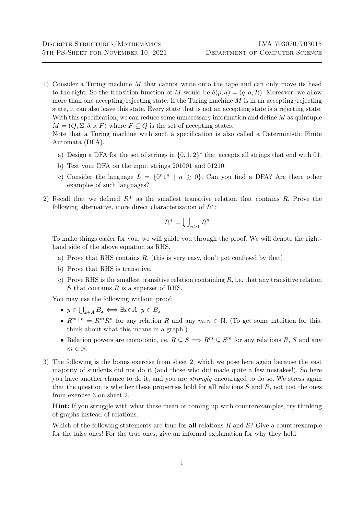1) Consider a Turing machine M that cannot write onto the tape and can only move its head to the right. So the transition function of M would be  $\delta(p, a) = (q, a, R)$ . Moreover, we allow more than one accepting/rejecting state. If the Turing machine  $M$  is in an accepting/rejecting state, it can also leave this state. Every state that is not an accepting state is a rejecting state. With this specification, we can reduce some unnecessary information and define  $M$  as quintuple  $M = (Q, \Sigma, \delta, s, F)$  where  $F \subseteq Q$  is the set of accepting states.

Note that a Turing machine with such a specification is also called a Deterministic Finite Automata (DFA).

- a) Design a DFA for the set of strings in  $\{0, 1, 2\}^*$  that accepts all strings that end with 01.
- b) Test your DFA on the input strings 201001 and 01210.
- c) Consider the language  $L = \{0^n1^n \mid n \ge 0\}$ . Can you find a DFA? Are there other examples of such languages?
- 2) Recall that we defined  $R^+$  as the smallest transitive relation that contains R. Prove the following alternative, more direct characterisation of  $R^*$ :

$$
R^+ = \bigcup_{n \ge 1} R^n
$$

To make things easier for you, we will guide you through the proof. We will denote the righthand side of the above equation as RHS.

- a) Prove that RHS contains  $R$ . (this is very easy, don't get confused by that)
- b) Prove that RHS is transitive.
- c) Prove RHS is the smallest transitive relation containing  $R$ , i.e. that any transitive relation S that contains R is a superset of RHS.

You may use the following without proof:

- $y \in \bigcup_{x \in A} B_x \Longleftrightarrow \exists x \in A. y \in B_x$
- $R^{m+n} = R^m R^n$  for any relation R and any  $m, n \in \mathbb{N}$ . (To get some intuition for this, think about what this means in a graph!)
- Relation powers are monotonic, i.e.  $R \subseteq S \Longrightarrow R^m \subseteq S^m$  for any relations R, S and any  $m \in \mathbb{N}$ .
- 3) The following is the bonus exercise from sheet 2, which we pose here again because the vast majority of students did not do it (and those who did made quite a few mistakes!). So here you have another chance to do it, and you are strongly encouraged to do so. We stress again that the question is whether these properties hold for all relations  $S$  and  $R$ , not just the ones from exercise 3 on sheet 2.

Hint: If you struggle with what these mean or coming up with counterexamples, try thinking of graphs instead of relations.

Which of the following statements are true for all relations  $R$  and  $S$ ? Give a counterexample for the false ones! For the true ones, give an informal explanation for why they hold.